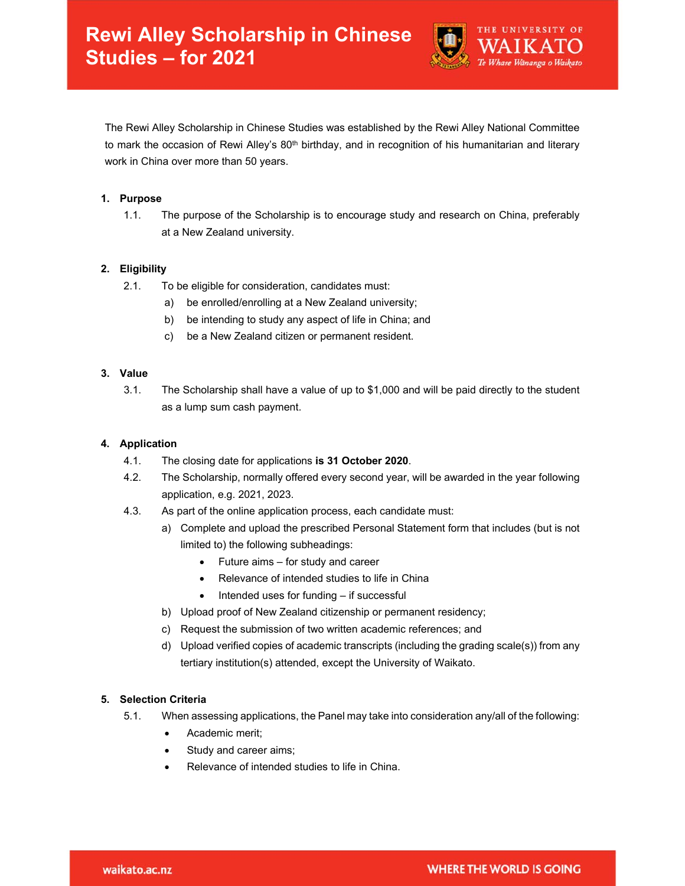

The Rewi Alley Scholarship in Chinese Studies was established by the Rewi Alley National Committee to mark the occasion of Rewi Alley's 80<sup>th</sup> birthday, and in recognition of his humanitarian and literary work in China over more than 50 years.

### **1. Purpose**

1.1. The purpose of the Scholarship is to encourage study and research on China, preferably at a New Zealand university.

# **2. Eligibility**

- 2.1. To be eligible for consideration, candidates must:
	- a) be enrolled/enrolling at a New Zealand university;
	- b) be intending to study any aspect of life in China; and
	- c) be a New Zealand citizen or permanent resident.

# **3. Value**

3.1. The Scholarship shall have a value of up to \$1,000 and will be paid directly to the student as a lump sum cash payment.

# **4. Application**

- 4.1. The closing date for applications **is 31 October 2020**.
- 4.2. The Scholarship, normally offered every second year, will be awarded in the year following application, e.g. 2021, 2023.
- 4.3. As part of the online application process, each candidate must:
	- a) Complete and upload the prescribed Personal Statement form that includes (but is not limited to) the following subheadings:
		- Future aims for study and career
		- Relevance of intended studies to life in China
		- $\bullet$  Intended uses for funding  $-$  if successful
	- b) Upload proof of New Zealand citizenship or permanent residency;
	- c) Request the submission of two written academic references; and
	- d) Upload verified copies of academic transcripts (including the grading scale(s)) from any tertiary institution(s) attended, except the University of Waikato.

# **5. Selection Criteria**

- 5.1. When assessing applications, the Panel may take into consideration any/all of the following:
	- Academic merit;
	- Study and career aims;
	- Relevance of intended studies to life in China.